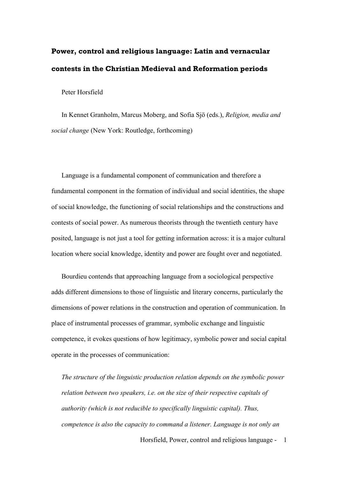# **Power, control and religious language: Latin and vernacular contests in the Christian Medieval and Reformation periods**

Peter Horsfield

In Kennet Granholm, Marcus Moberg, and Sofia Sjö (eds.), *Religion, media and social change* (New York: Routledge, forthcoming)

Language is a fundamental component of communication and therefore a fundamental component in the formation of individual and social identities, the shape of social knowledge, the functioning of social relationships and the constructions and contests of social power. As numerous theorists through the twentieth century have posited, language is not just a tool for getting information across: it is a major cultural location where social knowledge, identity and power are fought over and negotiated.

Bourdieu contends that approaching language from a sociological perspective adds different dimensions to those of linguistic and literary concerns, particularly the dimensions of power relations in the construction and operation of communication. In place of instrumental processes of grammar, symbolic exchange and linguistic competence, it evokes questions of how legitimacy, symbolic power and social capital operate in the processes of communication:

*The structure of the linguistic production relation depends on the symbolic power relation between two speakers, i.e. on the size of their respective capitals of authority (which is not reducible to specifically linguistic capital). Thus, competence is also the capacity to command a listener. Language is not only an* 

Horsfield, Power, control and religious language - 1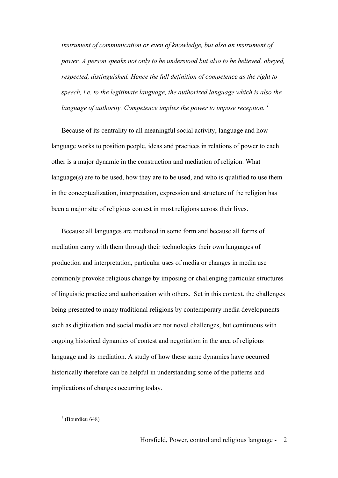*instrument of communication or even of knowledge, but also an instrument of power. A person speaks not only to be understood but also to be believed, obeyed, respected, distinguished. Hence the full definition of competence as the right to speech, i.e. to the legitimate language, the authorized language which is also the language of authority. Competence implies the power to impose reception. <sup>1</sup>*

Because of its centrality to all meaningful social activity, language and how language works to position people, ideas and practices in relations of power to each other is a major dynamic in the construction and mediation of religion. What language(s) are to be used, how they are to be used, and who is qualified to use them in the conceptualization, interpretation, expression and structure of the religion has been a major site of religious contest in most religions across their lives.

Because all languages are mediated in some form and because all forms of mediation carry with them through their technologies their own languages of production and interpretation, particular uses of media or changes in media use commonly provoke religious change by imposing or challenging particular structures of linguistic practice and authorization with others. Set in this context, the challenges being presented to many traditional religions by contemporary media developments such as digitization and social media are not novel challenges, but continuous with ongoing historical dynamics of contest and negotiation in the area of religious language and its mediation. A study of how these same dynamics have occurred historically therefore can be helpful in understanding some of the patterns and implications of changes occurring today.

 $<sup>1</sup>$  (Bourdieu 648)</sup>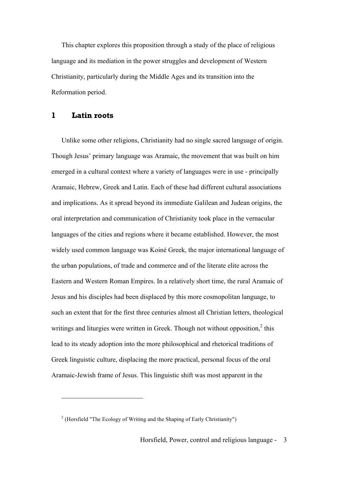This chapter explores this proposition through a study of the place of religious language and its mediation in the power struggles and development of Western Christianity, particularly during the Middle Ages and its transition into the Reformation period.

#### **1 Latin roots**

 $\overline{a}$ 

Unlike some other religions, Christianity had no single sacred language of origin. Though Jesus' primary language was Aramaic, the movement that was built on him emerged in a cultural context where a variety of languages were in use - principally Aramaic, Hebrew, Greek and Latin. Each of these had different cultural associations and implications. As it spread beyond its immediate Galilean and Judean origins, the oral interpretation and communication of Christianity took place in the vernacular languages of the cities and regions where it became established. However, the most widely used common language was Koiné Greek, the major international language of the urban populations, of trade and commerce and of the literate elite across the Eastern and Western Roman Empires. In a relatively short time, the rural Aramaic of Jesus and his disciples had been displaced by this more cosmopolitan language, to such an extent that for the first three centuries almost all Christian letters, theological writings and liturgies were written in Greek. Though not without opposition.<sup>2</sup> this lead to its steady adoption into the more philosophical and rhetorical traditions of Greek linguistic culture, displacing the more practical, personal focus of the oral Aramaic-Jewish frame of Jesus. This linguistic shift was most apparent in the

<sup>&</sup>lt;sup>2</sup> (Horsfield "The Ecology of Writing and the Shaping of Early Christianity")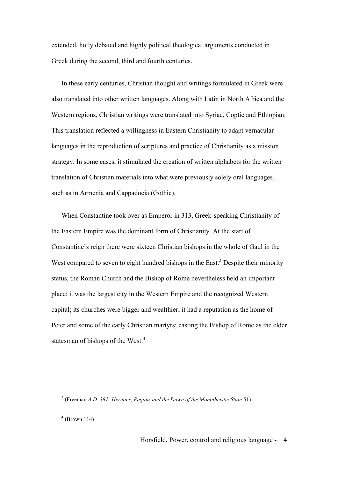extended, hotly debated and highly political theological arguments conducted in Greek during the second, third and fourth centuries.

In these early centuries, Christian thought and writings formulated in Greek were also translated into other written languages. Along with Latin in North Africa and the Western regions, Christian writings were translated into Syriac, Coptic and Ethiopian. This translation reflected a willingness in Eastern Christianity to adapt vernacular languages in the reproduction of scriptures and practice of Christianity as a mission strategy. In some cases, it stimulated the creation of written alphabets for the written translation of Christian materials into what were previously solely oral languages, such as in Armenia and Cappadocia (Gothic).

When Constantine took over as Emperor in 313, Greek-speaking Christianity of the Eastern Empire was the dominant form of Christianity. At the start of Constantine's reign there were sixteen Christian bishops in the whole of Gaul in the West compared to seven to eight hundred bishops in the East.<sup>3</sup> Despite their minority status, the Roman Church and the Bishop of Rome nevertheless held an important place: it was the largest city in the Western Empire and the recognized Western capital; its churches were bigger and wealthier; it had a reputation as the home of Peter and some of the early Christian martyrs; casting the Bishop of Rome as the elder statesman of bishops of the West.<sup>4</sup>

<sup>3</sup> (Freeman *A.D. 381: Heretics, Pagans and the Dawn of the Monotheistic State* 51)

 $4$  (Brown 114)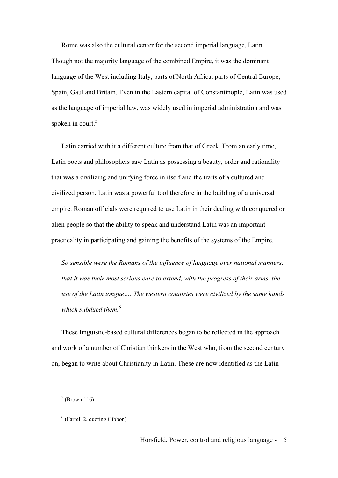Rome was also the cultural center for the second imperial language, Latin. Though not the majority language of the combined Empire, it was the dominant language of the West including Italy, parts of North Africa, parts of Central Europe, Spain, Gaul and Britain. Even in the Eastern capital of Constantinople, Latin was used as the language of imperial law, was widely used in imperial administration and was spoken in court. $5$ 

Latin carried with it a different culture from that of Greek. From an early time, Latin poets and philosophers saw Latin as possessing a beauty, order and rationality that was a civilizing and unifying force in itself and the traits of a cultured and civilized person. Latin was a powerful tool therefore in the building of a universal empire. Roman officials were required to use Latin in their dealing with conquered or alien people so that the ability to speak and understand Latin was an important practicality in participating and gaining the benefits of the systems of the Empire.

*So sensible were the Romans of the influence of language over national manners, that it was their most serious care to extend, with the progress of their arms, the use of the Latin tongue…. The western countries were civilized by the same hands which subdued them.6*

These linguistic-based cultural differences began to be reflected in the approach and work of a number of Christian thinkers in the West who, from the second century on, began to write about Christianity in Latin. These are now identified as the Latin

 $<sup>5</sup>$  (Brown 116)</sup>

 $<sup>6</sup>$  (Farrell 2, quoting Gibbon)</sup>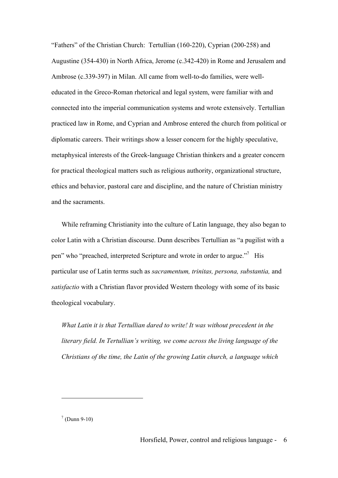"Fathers" of the Christian Church: Tertullian (160-220), Cyprian (200-258) and Augustine (354-430) in North Africa, Jerome (c.342-420) in Rome and Jerusalem and Ambrose (c.339-397) in Milan. All came from well-to-do families, were welleducated in the Greco-Roman rhetorical and legal system, were familiar with and connected into the imperial communication systems and wrote extensively. Tertullian practiced law in Rome, and Cyprian and Ambrose entered the church from political or diplomatic careers. Their writings show a lesser concern for the highly speculative, metaphysical interests of the Greek-language Christian thinkers and a greater concern for practical theological matters such as religious authority, organizational structure, ethics and behavior, pastoral care and discipline, and the nature of Christian ministry and the sacraments.

While reframing Christianity into the culture of Latin language, they also began to color Latin with a Christian discourse. Dunn describes Tertullian as "a pugilist with a pen" who "preached, interpreted Scripture and wrote in order to argue."7 His particular use of Latin terms such as *sacramentum, trinitas, persona, substantia,* and *satisfactio* with a Christian flavor provided Western theology with some of its basic theological vocabulary.

*What Latin it is that Tertullian dared to write! It was without precedent in the literary field. In Tertullian's writing, we come across the living language of the Christians of the time, the Latin of the growing Latin church, a language which* 

 $7$  (Dunn 9-10)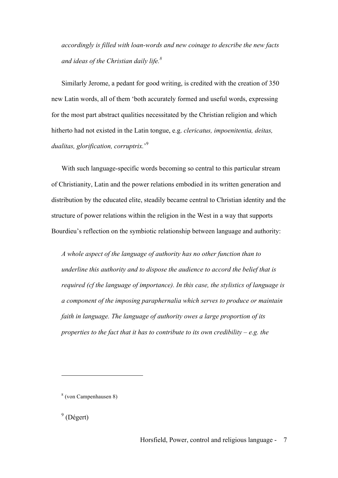*accordingly is filled with loan-words and new coinage to describe the new facts and ideas of the Christian daily life.8*

Similarly Jerome, a pedant for good writing, is credited with the creation of 350 new Latin words, all of them 'both accurately formed and useful words, expressing for the most part abstract qualities necessitated by the Christian religion and which hitherto had not existed in the Latin tongue, e.g. *clericatus, impoenitentia, deitas, dualitas, glorification, corruptrix.*' 9

With such language-specific words becoming so central to this particular stream of Christianity, Latin and the power relations embodied in its written generation and distribution by the educated elite, steadily became central to Christian identity and the structure of power relations within the religion in the West in a way that supports Bourdieu's reflection on the symbiotic relationship between language and authority:

*A whole aspect of the language of authority has no other function than to underline this authority and to dispose the audience to accord the belief that is required (cf the language of importance). In this case, the stylistics of language is a component of the imposing paraphernalia which serves to produce or maintain faith in language. The language of authority owes a large proportion of its properties to the fact that it has to contribute to its own credibility – e.g. the* 

<sup>8</sup> (von Campenhausen 8)

 $9$  (Dégert)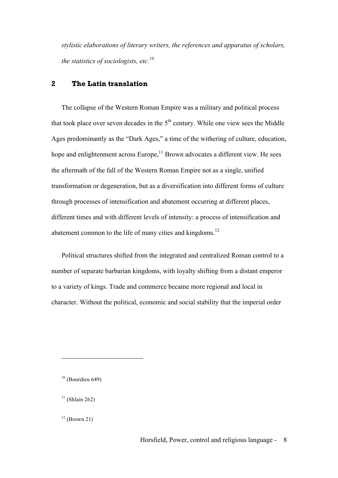*stylistic elaborations of literary writers, the references and apparatus of scholars, the statistics of sociologists, etc.<sup>10</sup>*

### **2 The Latin translation**

The collapse of the Western Roman Empire was a military and political process that took place over seven decades in the  $5<sup>th</sup>$  century. While one view sees the Middle Ages predominantly as the "Dark Ages," a time of the withering of culture, education, hope and enlightenment across Europe, $11$  Brown advocates a different view. He sees the aftermath of the fall of the Western Roman Empire not as a single, unified transformation or degeneration, but as a diversification into different forms of culture through processes of intensification and abatement occurring at different places, different times and with different levels of intensity: a process of intensification and abatement common to the life of many cities and kingdoms.<sup>12</sup>

Political structures shifted from the integrated and centralized Roman control to a number of separate barbarian kingdoms, with loyalty shifting from a distant emperor to a variety of kings. Trade and commerce became more regional and local in character. Without the political, economic and social stability that the imperial order

 $\overline{a}$ 

 $12$  (Brown 21)

 $10$  (Bourdieu 649)

 $11$  (Shlain 262)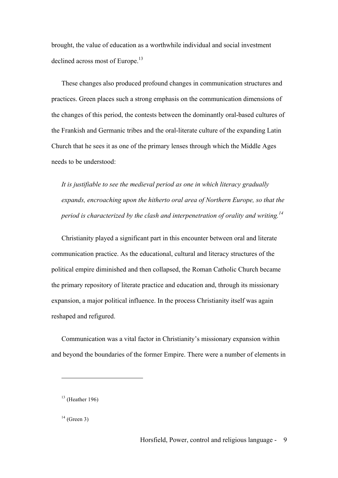brought, the value of education as a worthwhile individual and social investment declined across most of Europe.<sup>13</sup>

These changes also produced profound changes in communication structures and practices. Green places such a strong emphasis on the communication dimensions of the changes of this period, the contests between the dominantly oral-based cultures of the Frankish and Germanic tribes and the oral-literate culture of the expanding Latin Church that he sees it as one of the primary lenses through which the Middle Ages needs to be understood:

*It is justifiable to see the medieval period as one in which literacy gradually expands, encroaching upon the hitherto oral area of Northern Europe, so that the period is characterized by the clash and interpenetration of orality and writing.<sup>14</sup>*

Christianity played a significant part in this encounter between oral and literate communication practice. As the educational, cultural and literacy structures of the political empire diminished and then collapsed, the Roman Catholic Church became the primary repository of literate practice and education and, through its missionary expansion, a major political influence. In the process Christianity itself was again reshaped and refigured.

Communication was a vital factor in Christianity's missionary expansion within and beyond the boundaries of the former Empire. There were a number of elements in

 $13$  (Heather 196)

 $14$  (Green 3)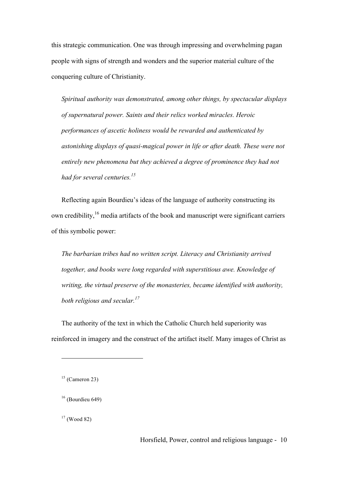this strategic communication. One was through impressing and overwhelming pagan people with signs of strength and wonders and the superior material culture of the conquering culture of Christianity.

*Spiritual authority was demonstrated, among other things, by spectacular displays of supernatural power. Saints and their relics worked miracles. Heroic performances of ascetic holiness would be rewarded and authenticated by astonishing displays of quasi-magical power in life or after death. These were not entirely new phenomena but they achieved a degree of prominence they had not had for several centuries.*<sup>15</sup>

Reflecting again Bourdieu's ideas of the language of authority constructing its own credibility,<sup>16</sup> media artifacts of the book and manuscript were significant carriers of this symbolic power:

*The barbarian tribes had no written script. Literacy and Christianity arrived together, and books were long regarded with superstitious awe. Knowledge of writing, the virtual preserve of the monasteries, became identified with authority, both religious and secular.17*

The authority of the text in which the Catholic Church held superiority was reinforced in imagery and the construct of the artifact itself. Many images of Christ as

 $15$  (Cameron 23)

 $16$  (Bourdieu 649)

 $17$  (Wood 82)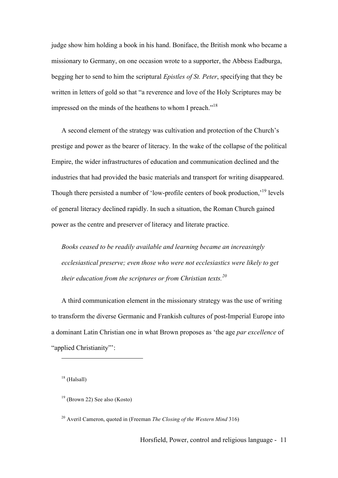judge show him holding a book in his hand. Boniface, the British monk who became a missionary to Germany, on one occasion wrote to a supporter, the Abbess Eadburga, begging her to send to him the scriptural *Epistles of St. Peter*, specifying that they be written in letters of gold so that "a reverence and love of the Holy Scriptures may be impressed on the minds of the heathens to whom I preach."<sup>18</sup>

A second element of the strategy was cultivation and protection of the Church's prestige and power as the bearer of literacy. In the wake of the collapse of the political Empire, the wider infrastructures of education and communication declined and the industries that had provided the basic materials and transport for writing disappeared. Though there persisted a number of 'low-profile centers of book production,'19 levels of general literacy declined rapidly. In such a situation, the Roman Church gained power as the centre and preserver of literacy and literate practice.

*Books ceased to be readily available and learning became an increasingly ecclesiastical preserve; even those who were not ecclesiastics were likely to get their education from the scriptures or from Christian texts.<sup>20</sup>*

A third communication element in the missionary strategy was the use of writing to transform the diverse Germanic and Frankish cultures of post-Imperial Europe into a dominant Latin Christian one in what Brown proposes as 'the age *par excellence* of "applied Christianity"':

<sup>18</sup> (Halsall)

 $\overline{a}$ 

<sup>20</sup> Averil Cameron, quoted in (Freeman *The Closing of the Western Mind* 316)

 $19$  (Brown 22) See also (Kosto)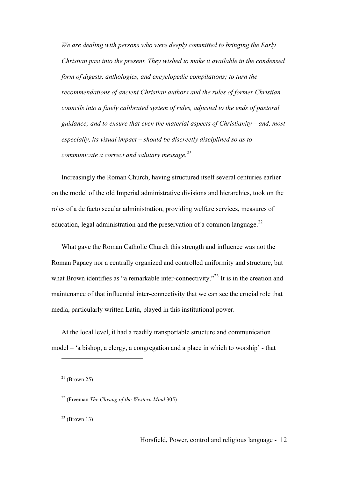*We are dealing with persons who were deeply committed to bringing the Early Christian past into the present. They wished to make it available in the condensed form of digests, anthologies, and encyclopedic compilations; to turn the recommendations of ancient Christian authors and the rules of former Christian councils into a finely calibrated system of rules, adjusted to the ends of pastoral guidance; and to ensure that even the material aspects of Christianity – and, most especially, its visual impact – should be discreetly disciplined so as to communicate a correct and salutary message.<sup>21</sup>*

Increasingly the Roman Church, having structured itself several centuries earlier on the model of the old Imperial administrative divisions and hierarchies, took on the roles of a de facto secular administration, providing welfare services, measures of education, legal administration and the preservation of a common language.<sup>22</sup>

What gave the Roman Catholic Church this strength and influence was not the Roman Papacy nor a centrally organized and controlled uniformity and structure, but what Brown identifies as "a remarkable inter-connectivity."<sup>23</sup> It is in the creation and maintenance of that influential inter-connectivity that we can see the crucial role that media, particularly written Latin, played in this institutional power.

At the local level, it had a readily transportable structure and communication model – 'a bishop, a clergy, a congregation and a place in which to worship' - that

 $21$  (Brown 25)

 $\overline{a}$ 

<sup>22</sup> (Freeman *The Closing of the Western Mind* 305)

 $23$  (Brown 13)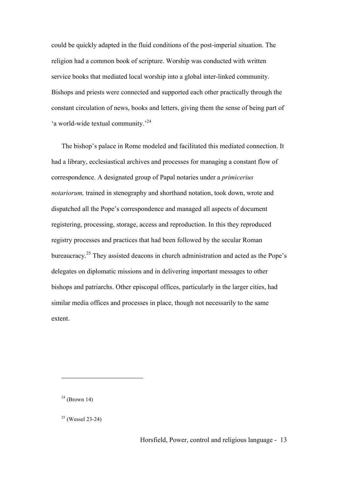could be quickly adapted in the fluid conditions of the post-imperial situation. The religion had a common book of scripture. Worship was conducted with written service books that mediated local worship into a global inter-linked community. Bishops and priests were connected and supported each other practically through the constant circulation of news, books and letters, giving them the sense of being part of 'a world-wide textual community.<sup>24</sup>

The bishop's palace in Rome modeled and facilitated this mediated connection. It had a library, ecclesiastical archives and processes for managing a constant flow of correspondence. A designated group of Papal notaries under a *primicerius notariorum,* trained in stenography and shorthand notation, took down, wrote and dispatched all the Pope's correspondence and managed all aspects of document registering, processing, storage, access and reproduction. In this they reproduced registry processes and practices that had been followed by the secular Roman bureaucracy.<sup>25</sup> They assisted deacons in church administration and acted as the Pope's delegates on diplomatic missions and in delivering important messages to other bishops and patriarchs. Other episcopal offices, particularly in the larger cities, had similar media offices and processes in place, though not necessarily to the same extent.

 $24$  (Brown 14)

 $25$  (Wessel 23-24)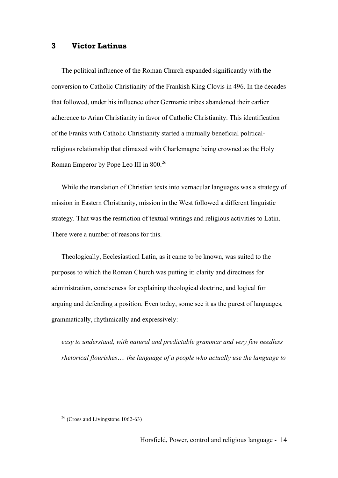### **3 Victor Latinus**

The political influence of the Roman Church expanded significantly with the conversion to Catholic Christianity of the Frankish King Clovis in 496. In the decades that followed, under his influence other Germanic tribes abandoned their earlier adherence to Arian Christianity in favor of Catholic Christianity. This identification of the Franks with Catholic Christianity started a mutually beneficial politicalreligious relationship that climaxed with Charlemagne being crowned as the Holy Roman Emperor by Pope Leo III in 800.<sup>26</sup>

While the translation of Christian texts into vernacular languages was a strategy of mission in Eastern Christianity, mission in the West followed a different linguistic strategy. That was the restriction of textual writings and religious activities to Latin. There were a number of reasons for this.

Theologically, Ecclesiastical Latin, as it came to be known, was suited to the purposes to which the Roman Church was putting it: clarity and directness for administration, conciseness for explaining theological doctrine, and logical for arguing and defending a position. Even today, some see it as the purest of languages, grammatically, rhythmically and expressively:

*easy to understand, with natural and predictable grammar and very few needless rhetorical flourishes…. the language of a people who actually use the language to* 

 $26$  (Cross and Livingstone 1062-63)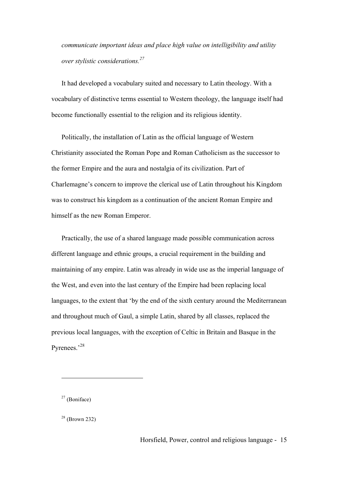*communicate important ideas and place high value on intelligibility and utility over stylistic considerations.<sup>27</sup>*

It had developed a vocabulary suited and necessary to Latin theology. With a vocabulary of distinctive terms essential to Western theology, the language itself had become functionally essential to the religion and its religious identity.

Politically, the installation of Latin as the official language of Western Christianity associated the Roman Pope and Roman Catholicism as the successor to the former Empire and the aura and nostalgia of its civilization. Part of Charlemagne's concern to improve the clerical use of Latin throughout his Kingdom was to construct his kingdom as a continuation of the ancient Roman Empire and himself as the new Roman Emperor.

Practically, the use of a shared language made possible communication across different language and ethnic groups, a crucial requirement in the building and maintaining of any empire. Latin was already in wide use as the imperial language of the West, and even into the last century of the Empire had been replacing local languages, to the extent that 'by the end of the sixth century around the Mediterranean and throughout much of Gaul, a simple Latin, shared by all classes, replaced the previous local languages, with the exception of Celtic in Britain and Basque in the Pyrenees.'<sup>28</sup>

 $27$  (Boniface)

 $28$  (Brown 232)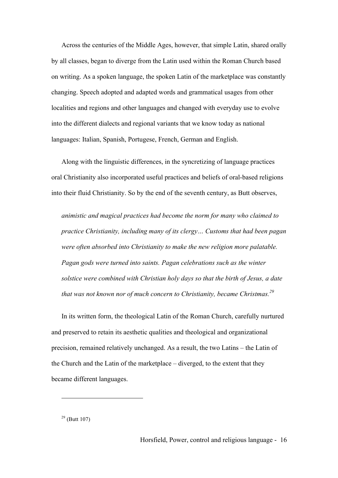Across the centuries of the Middle Ages, however, that simple Latin, shared orally by all classes, began to diverge from the Latin used within the Roman Church based on writing. As a spoken language, the spoken Latin of the marketplace was constantly changing. Speech adopted and adapted words and grammatical usages from other localities and regions and other languages and changed with everyday use to evolve into the different dialects and regional variants that we know today as national languages: Italian, Spanish, Portugese, French, German and English.

Along with the linguistic differences, in the syncretizing of language practices oral Christianity also incorporated useful practices and beliefs of oral-based religions into their fluid Christianity. So by the end of the seventh century, as Butt observes,

*animistic and magical practices had become the norm for many who claimed to practice Christianity, including many of its clergy… Customs that had been pagan were often absorbed into Christianity to make the new religion more palatable. Pagan gods were turned into saints. Pagan celebrations such as the winter solstice were combined with Christian holy days so that the birth of Jesus, a date that was not known nor of much concern to Christianity, became Christmas.<sup>29</sup>*

In its written form, the theological Latin of the Roman Church, carefully nurtured and preserved to retain its aesthetic qualities and theological and organizational precision, remained relatively unchanged. As a result, the two Latins – the Latin of the Church and the Latin of the marketplace – diverged, to the extent that they became different languages.

 $29$  (Butt 107)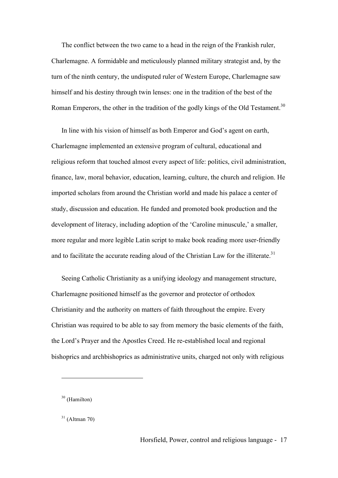The conflict between the two came to a head in the reign of the Frankish ruler, Charlemagne. A formidable and meticulously planned military strategist and, by the turn of the ninth century, the undisputed ruler of Western Europe, Charlemagne saw himself and his destiny through twin lenses: one in the tradition of the best of the Roman Emperors, the other in the tradition of the godly kings of the Old Testament.<sup>30</sup>

In line with his vision of himself as both Emperor and God's agent on earth, Charlemagne implemented an extensive program of cultural, educational and religious reform that touched almost every aspect of life: politics, civil administration, finance, law, moral behavior, education, learning, culture, the church and religion. He imported scholars from around the Christian world and made his palace a center of study, discussion and education. He funded and promoted book production and the development of literacy, including adoption of the 'Caroline minuscule,' a smaller, more regular and more legible Latin script to make book reading more user-friendly and to facilitate the accurate reading aloud of the Christian Law for the illiterate.<sup>31</sup>

Seeing Catholic Christianity as a unifying ideology and management structure, Charlemagne positioned himself as the governor and protector of orthodox Christianity and the authority on matters of faith throughout the empire. Every Christian was required to be able to say from memory the basic elements of the faith, the Lord's Prayer and the Apostles Creed. He re-established local and regional bishoprics and archbishoprics as administrative units, charged not only with religious

<sup>30</sup> (Hamilton)

 $31$  (Altman 70)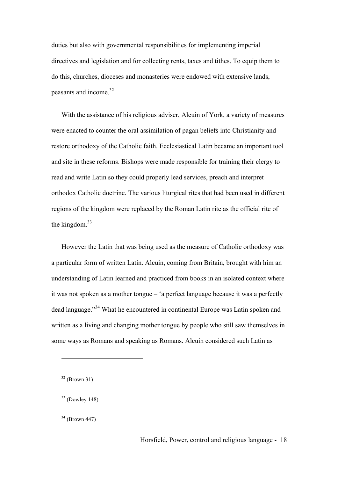duties but also with governmental responsibilities for implementing imperial directives and legislation and for collecting rents, taxes and tithes. To equip them to do this, churches, dioceses and monasteries were endowed with extensive lands, peasants and income.32

With the assistance of his religious adviser, Alcuin of York, a variety of measures were enacted to counter the oral assimilation of pagan beliefs into Christianity and restore orthodoxy of the Catholic faith. Ecclesiastical Latin became an important tool and site in these reforms. Bishops were made responsible for training their clergy to read and write Latin so they could properly lead services, preach and interpret orthodox Catholic doctrine. The various liturgical rites that had been used in different regions of the kingdom were replaced by the Roman Latin rite as the official rite of the kingdom. $33$ 

However the Latin that was being used as the measure of Catholic orthodoxy was a particular form of written Latin. Alcuin, coming from Britain, brought with him an understanding of Latin learned and practiced from books in an isolated context where it was not spoken as a mother tongue – 'a perfect language because it was a perfectly dead language."34 What he encountered in continental Europe was Latin spoken and written as a living and changing mother tongue by people who still saw themselves in some ways as Romans and speaking as Romans. Alcuin considered such Latin as

 $32$  (Brown 31)

 $33$  (Dowley 148)

 $34$  (Brown 447)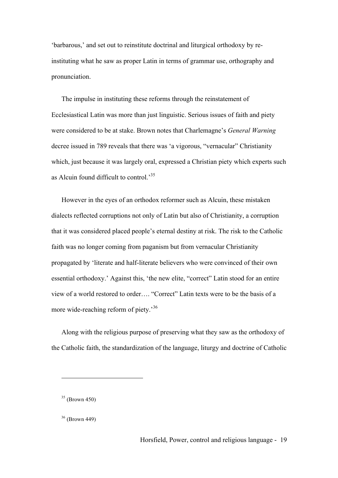'barbarous,' and set out to reinstitute doctrinal and liturgical orthodoxy by reinstituting what he saw as proper Latin in terms of grammar use, orthography and pronunciation.

The impulse in instituting these reforms through the reinstatement of Ecclesiastical Latin was more than just linguistic. Serious issues of faith and piety were considered to be at stake. Brown notes that Charlemagne's *General Warning*  decree issued in 789 reveals that there was 'a vigorous, "vernacular" Christianity which, just because it was largely oral, expressed a Christian piety which experts such as Alcuin found difficult to control.<sup>35</sup>

However in the eyes of an orthodox reformer such as Alcuin, these mistaken dialects reflected corruptions not only of Latin but also of Christianity, a corruption that it was considered placed people's eternal destiny at risk. The risk to the Catholic faith was no longer coming from paganism but from vernacular Christianity propagated by 'literate and half-literate believers who were convinced of their own essential orthodoxy.' Against this, 'the new elite, "correct" Latin stood for an entire view of a world restored to order…. "Correct" Latin texts were to be the basis of a more wide-reaching reform of piety.<sup>36</sup>

Along with the religious purpose of preserving what they saw as the orthodoxy of the Catholic faith, the standardization of the language, liturgy and doctrine of Catholic

 $35$  (Brown 450)

 $36$  (Brown 449)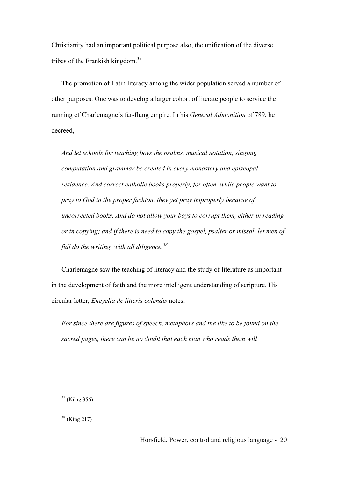Christianity had an important political purpose also, the unification of the diverse tribes of the Frankish kingdom.37

The promotion of Latin literacy among the wider population served a number of other purposes. One was to develop a larger cohort of literate people to service the running of Charlemagne's far-flung empire. In his *General Admonition* of 789, he decreed,

*And let schools for teaching boys the psalms, musical notation, singing, computation and grammar be created in every monastery and episcopal residence. And correct catholic books properly, for often, while people want to pray to God in the proper fashion, they yet pray improperly because of uncorrected books. And do not allow your boys to corrupt them, either in reading or in copying; and if there is need to copy the gospel, psalter or missal, let men of full do the writing, with all diligence.<sup>38</sup>*

Charlemagne saw the teaching of literacy and the study of literature as important in the development of faith and the more intelligent understanding of scripture. His circular letter, *Encyclia de litteris colendis* notes:

*For since there are figures of speech, metaphors and the like to be found on the sacred pages, there can be no doubt that each man who reads them will* 

<sup>37</sup> (Küng 356)

<sup>38</sup> (King 217)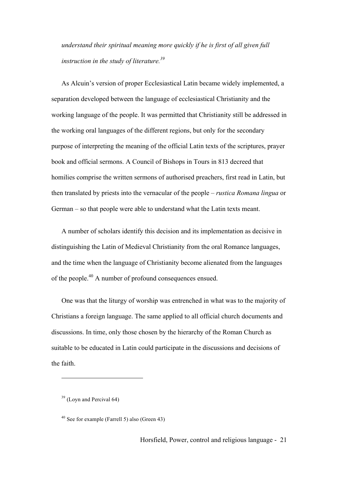*understand their spiritual meaning more quickly if he is first of all given full instruction in the study of literature.39*

As Alcuin's version of proper Ecclesiastical Latin became widely implemented, a separation developed between the language of ecclesiastical Christianity and the working language of the people. It was permitted that Christianity still be addressed in the working oral languages of the different regions, but only for the secondary purpose of interpreting the meaning of the official Latin texts of the scriptures, prayer book and official sermons. A Council of Bishops in Tours in 813 decreed that homilies comprise the written sermons of authorised preachers, first read in Latin, but then translated by priests into the vernacular of the people – *rustica Romana lingua* or German – so that people were able to understand what the Latin texts meant.

A number of scholars identify this decision and its implementation as decisive in distinguishing the Latin of Medieval Christianity from the oral Romance languages, and the time when the language of Christianity become alienated from the languages of the people.<sup>40</sup> A number of profound consequences ensued.

One was that the liturgy of worship was entrenched in what was to the majority of Christians a foreign language. The same applied to all official church documents and discussions. In time, only those chosen by the hierarchy of the Roman Church as suitable to be educated in Latin could participate in the discussions and decisions of the faith.

 $39$  (Loyn and Percival 64)

<sup>40</sup> See for example (Farrell 5) also (Green 43)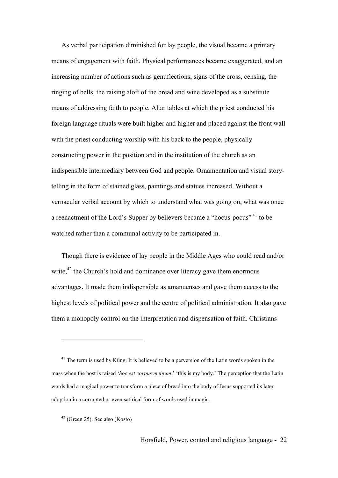As verbal participation diminished for lay people, the visual became a primary means of engagement with faith. Physical performances became exaggerated, and an increasing number of actions such as genuflections, signs of the cross, censing, the ringing of bells, the raising aloft of the bread and wine developed as a substitute means of addressing faith to people. Altar tables at which the priest conducted his foreign language rituals were built higher and higher and placed against the front wall with the priest conducting worship with his back to the people, physically constructing power in the position and in the institution of the church as an indispensible intermediary between God and people. Ornamentation and visual storytelling in the form of stained glass, paintings and statues increased. Without a vernacular verbal account by which to understand what was going on, what was once a reenactment of the Lord's Supper by believers became a "hocus-pocus" <sup>41</sup> to be watched rather than a communal activity to be participated in.

Though there is evidence of lay people in the Middle Ages who could read and/or write, $42$  the Church's hold and dominance over literacy gave them enormous advantages. It made them indispensible as amanuenses and gave them access to the highest levels of political power and the centre of political administration. It also gave them a monopoly control on the interpretation and dispensation of faith. Christians

<sup>&</sup>lt;sup>41</sup> The term is used by Küng. It is believed to be a perversion of the Latin words spoken in the mass when the host is raised '*hoc est corpus meinum*,' 'this is my body.' The perception that the Latin words had a magical power to transform a piece of bread into the body of Jesus supported its later adoption in a corrupted or even satirical form of words used in magic.

<sup>42</sup> (Green 25). See also (Kosto)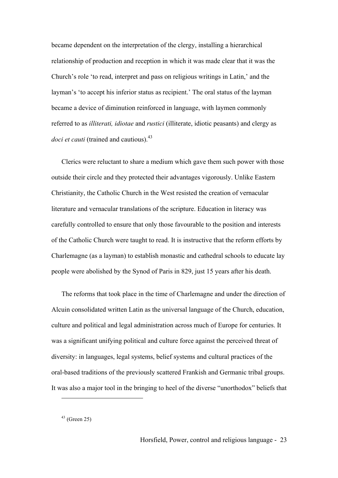became dependent on the interpretation of the clergy, installing a hierarchical relationship of production and reception in which it was made clear that it was the Church's role 'to read, interpret and pass on religious writings in Latin,' and the layman's 'to accept his inferior status as recipient.' The oral status of the layman became a device of diminution reinforced in language, with laymen commonly referred to as *illiterati, idiotae* and *rustici* (illiterate, idiotic peasants) and clergy as *doci et cauti* (trained and cautious).<sup>43</sup>

Clerics were reluctant to share a medium which gave them such power with those outside their circle and they protected their advantages vigorously. Unlike Eastern Christianity, the Catholic Church in the West resisted the creation of vernacular literature and vernacular translations of the scripture. Education in literacy was carefully controlled to ensure that only those favourable to the position and interests of the Catholic Church were taught to read. It is instructive that the reform efforts by Charlemagne (as a layman) to establish monastic and cathedral schools to educate lay people were abolished by the Synod of Paris in 829, just 15 years after his death.

The reforms that took place in the time of Charlemagne and under the direction of Alcuin consolidated written Latin as the universal language of the Church, education, culture and political and legal administration across much of Europe for centuries. It was a significant unifying political and culture force against the perceived threat of diversity: in languages, legal systems, belief systems and cultural practices of the oral-based traditions of the previously scattered Frankish and Germanic tribal groups. It was also a major tool in the bringing to heel of the diverse "unorthodox" beliefs that

 $43$  (Green 25)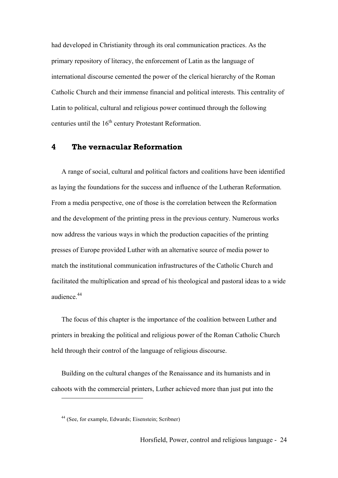had developed in Christianity through its oral communication practices. As the primary repository of literacy, the enforcement of Latin as the language of international discourse cemented the power of the clerical hierarchy of the Roman Catholic Church and their immense financial and political interests. This centrality of Latin to political, cultural and religious power continued through the following centuries until the 16<sup>th</sup> century Protestant Reformation.

## **4 The vernacular Reformation**

A range of social, cultural and political factors and coalitions have been identified as laying the foundations for the success and influence of the Lutheran Reformation. From a media perspective, one of those is the correlation between the Reformation and the development of the printing press in the previous century. Numerous works now address the various ways in which the production capacities of the printing presses of Europe provided Luther with an alternative source of media power to match the institutional communication infrastructures of the Catholic Church and facilitated the multiplication and spread of his theological and pastoral ideas to a wide audience.<sup>44</sup>

The focus of this chapter is the importance of the coalition between Luther and printers in breaking the political and religious power of the Roman Catholic Church held through their control of the language of religious discourse.

Building on the cultural changes of the Renaissance and its humanists and in cahoots with the commercial printers, Luther achieved more than just put into the

<sup>44</sup> (See, for example, Edwards; Eisenstein; Scribner)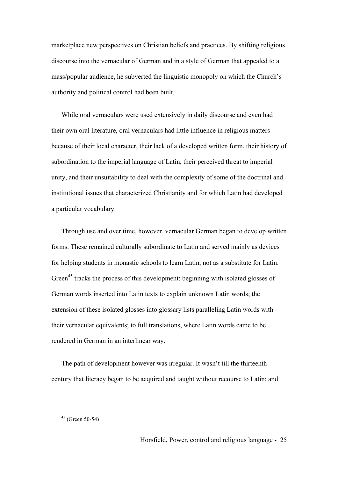marketplace new perspectives on Christian beliefs and practices. By shifting religious discourse into the vernacular of German and in a style of German that appealed to a mass/popular audience, he subverted the linguistic monopoly on which the Church's authority and political control had been built.

While oral vernaculars were used extensively in daily discourse and even had their own oral literature, oral vernaculars had little influence in religious matters because of their local character, their lack of a developed written form, their history of subordination to the imperial language of Latin, their perceived threat to imperial unity, and their unsuitability to deal with the complexity of some of the doctrinal and institutional issues that characterized Christianity and for which Latin had developed a particular vocabulary.

Through use and over time, however, vernacular German began to develop written forms. These remained culturally subordinate to Latin and served mainly as devices for helping students in monastic schools to learn Latin, not as a substitute for Latin. Green<sup>45</sup> tracks the process of this development: beginning with isolated glosses of German words inserted into Latin texts to explain unknown Latin words; the extension of these isolated glosses into glossary lists paralleling Latin words with their vernacular equivalents; to full translations, where Latin words came to be rendered in German in an interlinear way.

The path of development however was irregular. It wasn't till the thirteenth century that literacy began to be acquired and taught without recourse to Latin; and

 $45$  (Green 50-54)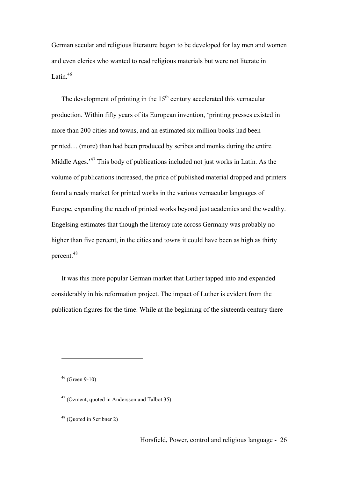German secular and religious literature began to be developed for lay men and women and even clerics who wanted to read religious materials but were not literate in Latin. $46$ 

The development of printing in the  $15<sup>th</sup>$  century accelerated this vernacular production. Within fifty years of its European invention, 'printing presses existed in more than 200 cities and towns, and an estimated six million books had been printed… (more) than had been produced by scribes and monks during the entire Middle Ages.<sup>47</sup> This body of publications included not just works in Latin. As the volume of publications increased, the price of published material dropped and printers found a ready market for printed works in the various vernacular languages of Europe, expanding the reach of printed works beyond just academics and the wealthy. Engelsing estimates that though the literacy rate across Germany was probably no higher than five percent, in the cities and towns it could have been as high as thirty percent.<sup>48</sup>

It was this more popular German market that Luther tapped into and expanded considerably in his reformation project. The impact of Luther is evident from the publication figures for the time. While at the beginning of the sixteenth century there

 $46$  (Green 9-10)

<sup>47</sup> (Ozment, quoted in Andersson and Talbot 35)

<sup>48</sup> (Quoted in Scribner 2)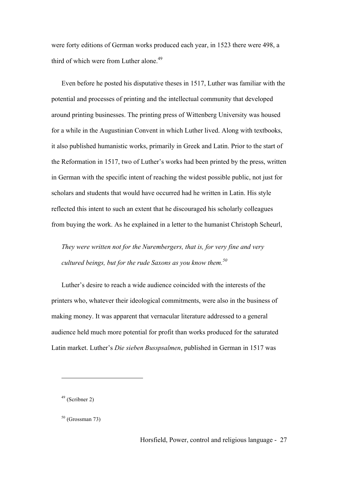were forty editions of German works produced each year, in 1523 there were 498, a third of which were from Luther alone.<sup>49</sup>

Even before he posted his disputative theses in 1517, Luther was familiar with the potential and processes of printing and the intellectual community that developed around printing businesses. The printing press of Wittenberg University was housed for a while in the Augustinian Convent in which Luther lived. Along with textbooks, it also published humanistic works, primarily in Greek and Latin. Prior to the start of the Reformation in 1517, two of Luther's works had been printed by the press, written in German with the specific intent of reaching the widest possible public, not just for scholars and students that would have occurred had he written in Latin. His style reflected this intent to such an extent that he discouraged his scholarly colleagues from buying the work. As he explained in a letter to the humanist Christoph Scheurl,

*They were written not for the Nurembergers, that is, for very fine and very cultured beings, but for the rude Saxons as you know them.<sup>50</sup>*

Luther's desire to reach a wide audience coincided with the interests of the printers who, whatever their ideological commitments, were also in the business of making money. It was apparent that vernacular literature addressed to a general audience held much more potential for profit than works produced for the saturated Latin market. Luther's *Die sieben Busspsalmen*, published in German in 1517 was

<sup>49</sup> (Scribner 2)

 $50$  (Grossman 73)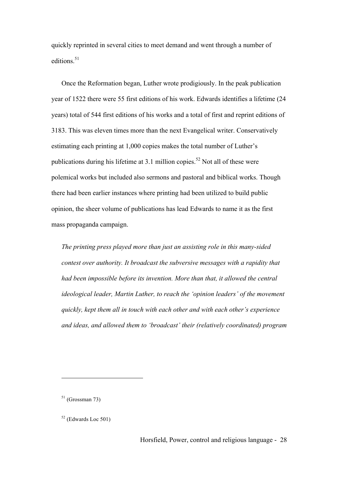quickly reprinted in several cities to meet demand and went through a number of editions. 51

Once the Reformation began, Luther wrote prodigiously. In the peak publication year of 1522 there were 55 first editions of his work. Edwards identifies a lifetime (24 years) total of 544 first editions of his works and a total of first and reprint editions of 3183. This was eleven times more than the next Evangelical writer. Conservatively estimating each printing at 1,000 copies makes the total number of Luther's publications during his lifetime at 3.1 million copies.<sup>52</sup> Not all of these were polemical works but included also sermons and pastoral and biblical works. Though there had been earlier instances where printing had been utilized to build public opinion, the sheer volume of publications has lead Edwards to name it as the first mass propaganda campaign.

*The printing press played more than just an assisting role in this many-sided contest over authority. It broadcast the subversive messages with a rapidity that had been impossible before its invention. More than that, it allowed the central ideological leader, Martin Luther, to reach the 'opinion leaders' of the movement quickly, kept them all in touch with each other and with each other's experience and ideas, and allowed them to 'broadcast' their (relatively coordinated) program* 

 $51$  (Grossman 73)

 $52$  (Edwards Loc 501)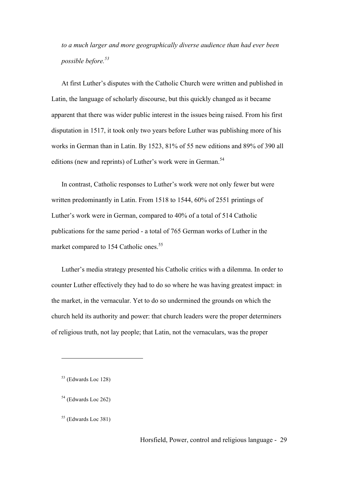*to a much larger and more geographically diverse audience than had ever been possible before.<sup>53</sup>*

At first Luther's disputes with the Catholic Church were written and published in Latin, the language of scholarly discourse, but this quickly changed as it became apparent that there was wider public interest in the issues being raised. From his first disputation in 1517, it took only two years before Luther was publishing more of his works in German than in Latin. By 1523, 81% of 55 new editions and 89% of 390 all editions (new and reprints) of Luther's work were in German.<sup>54</sup>

In contrast, Catholic responses to Luther's work were not only fewer but were written predominantly in Latin. From 1518 to 1544, 60% of 2551 printings of Luther's work were in German, compared to 40% of a total of 514 Catholic publications for the same period - a total of 765 German works of Luther in the market compared to 154 Catholic ones.<sup>55</sup>

Luther's media strategy presented his Catholic critics with a dilemma. In order to counter Luther effectively they had to do so where he was having greatest impact: in the market, in the vernacular. Yet to do so undermined the grounds on which the church held its authority and power: that church leaders were the proper determiners of religious truth, not lay people; that Latin, not the vernaculars, was the proper

<sup>53</sup> (Edwards Loc 128)

<sup>54</sup> (Edwards Loc 262)

<sup>55</sup> (Edwards Loc 381)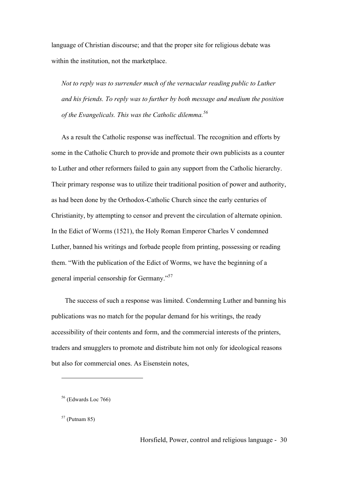language of Christian discourse; and that the proper site for religious debate was within the institution, not the marketplace.

*Not to reply was to surrender much of the vernacular reading public to Luther and his friends. To reply was to further by both message and medium the position of the Evangelicals. This was the Catholic dilemma.<sup>56</sup>*

As a result the Catholic response was ineffectual. The recognition and efforts by some in the Catholic Church to provide and promote their own publicists as a counter to Luther and other reformers failed to gain any support from the Catholic hierarchy. Their primary response was to utilize their traditional position of power and authority, as had been done by the Orthodox-Catholic Church since the early centuries of Christianity, by attempting to censor and prevent the circulation of alternate opinion. In the Edict of Worms (1521), the Holy Roman Emperor Charles V condemned Luther, banned his writings and forbade people from printing, possessing or reading them. "With the publication of the Edict of Worms, we have the beginning of a general imperial censorship for Germany."<sup>57</sup>

 The success of such a response was limited. Condemning Luther and banning his publications was no match for the popular demand for his writings, the ready accessibility of their contents and form, and the commercial interests of the printers, traders and smugglers to promote and distribute him not only for ideological reasons but also for commercial ones. As Eisenstein notes,

<sup>56</sup> (Edwards Loc 766)

 $57$  (Putnam 85)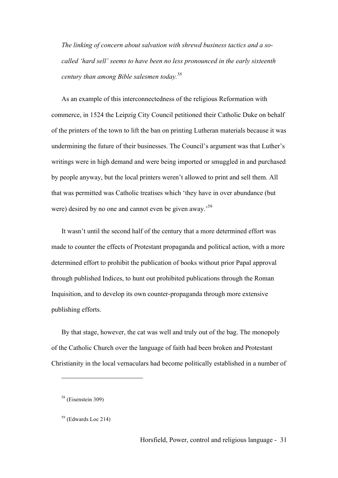*The linking of concern about salvation with shrewd business tactics and a socalled 'hard sell' seems to have been no less pronounced in the early sixteenth century than among Bible salesmen today.58*

As an example of this interconnectedness of the religious Reformation with commerce, in 1524 the Leipzig City Council petitioned their Catholic Duke on behalf of the printers of the town to lift the ban on printing Lutheran materials because it was undermining the future of their businesses. The Council's argument was that Luther's writings were in high demand and were being imported or smuggled in and purchased by people anyway, but the local printers weren't allowed to print and sell them. All that was permitted was Catholic treatises which 'they have in over abundance (but were) desired by no one and cannot even be given away.<sup>59</sup>

It wasn't until the second half of the century that a more determined effort was made to counter the effects of Protestant propaganda and political action, with a more determined effort to prohibit the publication of books without prior Papal approval through published Indices, to hunt out prohibited publications through the Roman Inquisition, and to develop its own counter-propaganda through more extensive publishing efforts.

By that stage, however, the cat was well and truly out of the bag. The monopoly of the Catholic Church over the language of faith had been broken and Protestant Christianity in the local vernaculars had become politically established in a number of

<sup>58</sup> (Eisenstein 309)

 $59$  (Edwards Loc 214)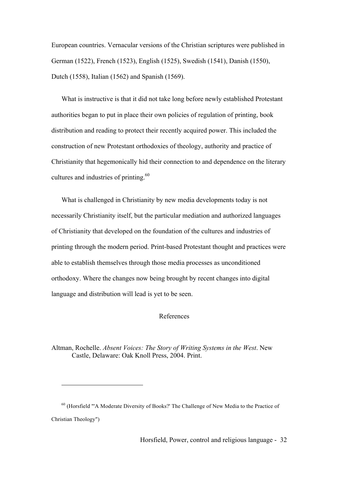European countries. Vernacular versions of the Christian scriptures were published in German (1522), French (1523), English (1525), Swedish (1541), Danish (1550), Dutch (1558), Italian (1562) and Spanish (1569).

What is instructive is that it did not take long before newly established Protestant authorities began to put in place their own policies of regulation of printing, book distribution and reading to protect their recently acquired power. This included the construction of new Protestant orthodoxies of theology, authority and practice of Christianity that hegemonically hid their connection to and dependence on the literary cultures and industries of printing.<sup>60</sup>

What is challenged in Christianity by new media developments today is not necessarily Christianity itself, but the particular mediation and authorized languages of Christianity that developed on the foundation of the cultures and industries of printing through the modern period. Print-based Protestant thought and practices were able to establish themselves through those media processes as unconditioned orthodoxy. Where the changes now being brought by recent changes into digital language and distribution will lead is yet to be seen.

#### References

Altman, Rochelle. *Absent Voices: The Story of Writing Systems in the West*. New Castle, Delaware: Oak Knoll Press, 2004. Print.

<sup>&</sup>lt;sup>60</sup> (Horsfield "'A Moderate Diversity of Books?' The Challenge of New Media to the Practice of Christian Theology")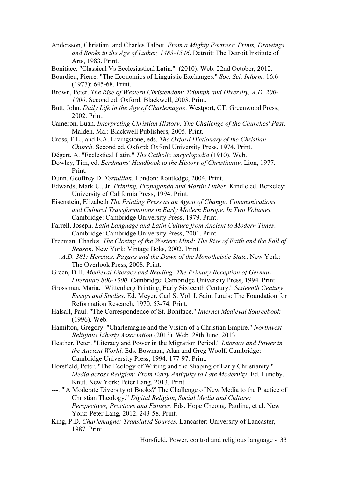- Andersson, Christian, and Charles Talbot. *From a Mighty Fortress: Prints, Drawings and Books in the Age of Luther, 1483-1546*. Detroit: The Detroit Institute of Arts, 1983. Print.
- Boniface. "Classical Vs Ecclesiastical Latin." (2010). Web. 22nd October, 2012.
- Bourdieu, Pierre. "The Economics of Linguistic Exchanges." *Soc. Sci. Inform.* 16.6 (1977): 645-68. Print.
- Brown, Peter. *The Rise of Western Christendom: Triumph and Diversity, A.D. 200- 1000*. Second ed. Oxford: Blackwell, 2003. Print.
- Butt, John. *Daily Life in the Age of Charlemagne*. Westport, CT: Greenwood Press, 2002. Print.
- Cameron, Euan. *Interpreting Christian History: The Challenge of the Churches' Past*. Malden, Ma.: Blackwell Publishers, 2005. Print.
- Cross, F.L., and E.A. Livingstone, eds. *The Oxford Dictionary of the Christian Church*. Second ed. Oxford: Oxford University Press, 1974. Print.
- Dégert, A. "Ecclestical Latin." *The Catholic encyclopedia* (1910). Web.
- Dowley, Tim, ed. *Eerdmans' Handbook to the History of Christianity*. Lion, 1977. Print.
- Dunn, Geoffrey D. *Tertullian*. London: Routledge, 2004. Print.
- Edwards, Mark U., Jr. *Printing, Propaganda and Martin Luther*. Kindle ed. Berkeley: University of California Press, 1994. Print.
- Eisenstein, Elizabeth *The Printing Press as an Agent of Change: Communications and Cultural Transformations in Early Modern Europe. In Two Volumes.* Cambridge: Cambridge University Press, 1979. Print.
- Farrell, Joseph. *Latin Language and Latin Culture from Ancient to Modern Times*. Cambridge: Cambridge University Press, 2001. Print.
- Freeman, Charles. *The Closing of the Western Mind: The Rise of Faith and the Fall of Reason*. New York: Vintage Boks, 2002. Print.
- ---. *A.D. 381: Heretics, Pagans and the Dawn of the Monotheistic State*. New York: The Overlook Press, 2008. Print.
- Green, D.H. *Medieval Literacy and Reading: The Primary Reception of German Literature 800-1300*. Cambridge: Cambridge University Press, 1994. Print.
- Grossman, Maria. "Wittenberg Printing, Early Sixteenth Century." *Sixteenth Century Essays and Studies*. Ed. Meyer, Carl S. Vol. I. Saint Louis: The Foundation for Reformation Research, 1970. 53-74. Print.
- Halsall, Paul. "The Correspondence of St. Boniface." *Internet Medieval Sourcebook* (1996). Web.
- Hamilton, Gregory. "Charlemagne and the Vision of a Christian Empire." *Northwest Religious Liberty Association* (2013). Web. 28th June, 2013.
- Heather, Peter. "Literacy and Power in the Migration Period." *Literacy and Power in the Ancient World*. Eds. Bowman, Alan and Greg Woolf. Cambridge: Cambridge University Press, 1994. 177-97. Print.
- Horsfield, Peter. "The Ecology of Writing and the Shaping of Early Christianity." *Media across Religion: From Early Antiquity to Late Modernity*. Ed. Lundby, Knut. New York: Peter Lang, 2013. Print.
- ---. "'A Moderate Diversity of Books?' The Challenge of New Media to the Practice of Christian Theology." *Digital Religion, Social Media and Culture: Perspectives, Practices and Futures*. Eds. Hope Cheong, Pauline, et al. New York: Peter Lang, 2012. 243-58. Print.
- King, P.D. *Charlemagne: Translated Sources*. Lancaster: University of Lancaster, 1987. Print.

Horsfield, Power, control and religious language - 33